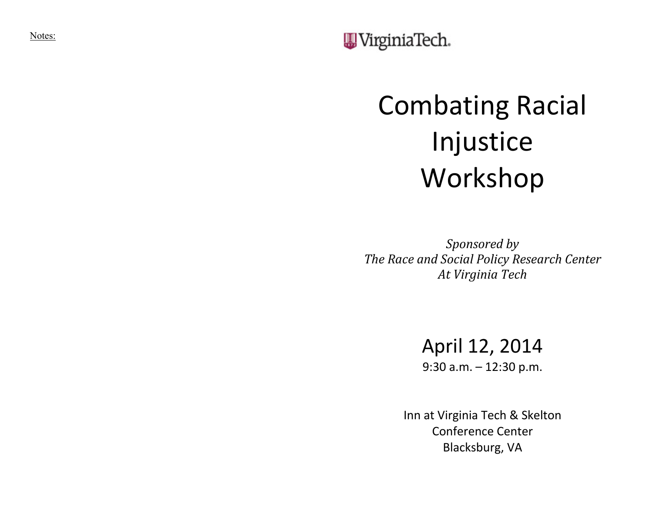Notes:

WirginiaTech.

## Combating Racial Injustice Workshop

*Sponsored by* **The Race and Social Policy Research Center** *At Virginia Tech*

## April 12, 2014

9:30 a.m. – 12:30 p.m.

Inn at Virginia Tech & Skelton Conference Center Blacksburg, VA